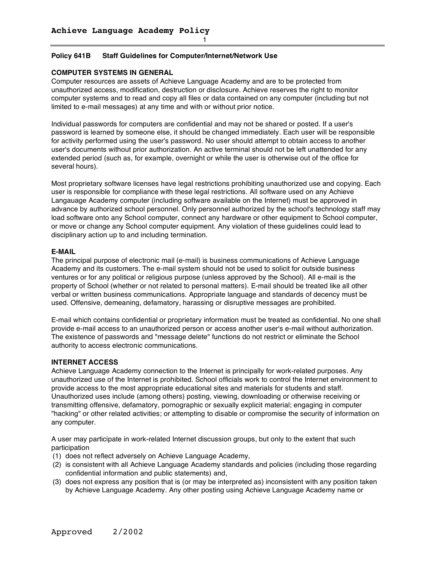## **Policy 641B Staff Guidelines for Computer/Internet/Network Use**

## **COMPUTER SYSTEMS IN GENERAL**

Computer resources are assets of Achieve Language Academy and are to be protected from unauthorized access, modification, destruction or disclosure. Achieve reserves the right to monitor computer systems and to read and copy all files or data contained on any computer (including but not limited to e-mail messages) at any time and with or without prior notice.

Individual passwords for computers are confidential and may not be shared or posted. If a user's password is learned by someone else, it should be changed immediately. Each user will be responsible for activity performed using the user's password. No user should attempt to obtain access to another user's documents without prior authorization. An active terminal should not be left unattended for any extended period (such as, for example, overnight or while the user is otherwise out of the office for several hours).

Most proprietary software licenses have legal restrictions prohibiting unauthorized use and copying. Each user is responsible for compliance with these legal restrictions. All software used on any Achieve Langauage Academy computer (including software available on the Internet) must be approved in advance by authorized school personnel. Only personnel authorized by the school's technology staff may load software onto any School computer, connect any hardware or other equipment to School computer, or move or change any School computer equipment. Any violation of these guidelines could lead to disciplinary action up to and including termination.

## **E-MAIL**

The principal purpose of electronic mail (e-mail) is business communications of Achieve Language Academy and its customers. The e-mail system should not be used to solicit for outside business ventures or for any political or religious purpose (unless approved by the School). All e-mail is the property of School (whether or not related to personal matters). E-mail should be treated like all other verbal or written business communications. Appropriate language and standards of decency must be used. Offensive, demeaning, defamatory, harassing or disruptive messages are prohibited.

E-mail which contains confidential or proprietary information must be treated as confidential. No one shall provide e-mail access to an unauthorized person or access another user's e-mail without authorization. The existence of passwords and "message delete" functions do not restrict or eliminate the School authority to access electronic communications.

## **INTERNET ACCESS**

Achieve Language Academy connection to the Internet is principally for work-related purposes. Any unauthorized use of the Internet is prohibited. School officials work to control the Internet environment to provide access to the most appropriate educational sites and materials for students and staff. Unauthorized uses include (among others) posting, viewing, downloading or otherwise receiving or transmitting offensive, defamatory, pornographic or sexually explicit material; engaging in computer "hacking" or other related activities; or attempting to disable or compromise the security of information on any computer.

A user may participate in work-related Internet discussion groups, but only to the extent that such participation

- (1) does not reflect adversely on Achieve Language Academy,
- (2) is consistent with all Achieve Language Academy standards and policies (including those regarding confidential information and public statements) and,
- (3) does not express any position that is (or may be interpreted as) inconsistent with any position taken by Achieve Language Academy. Any other posting using Achieve Language Academy name or